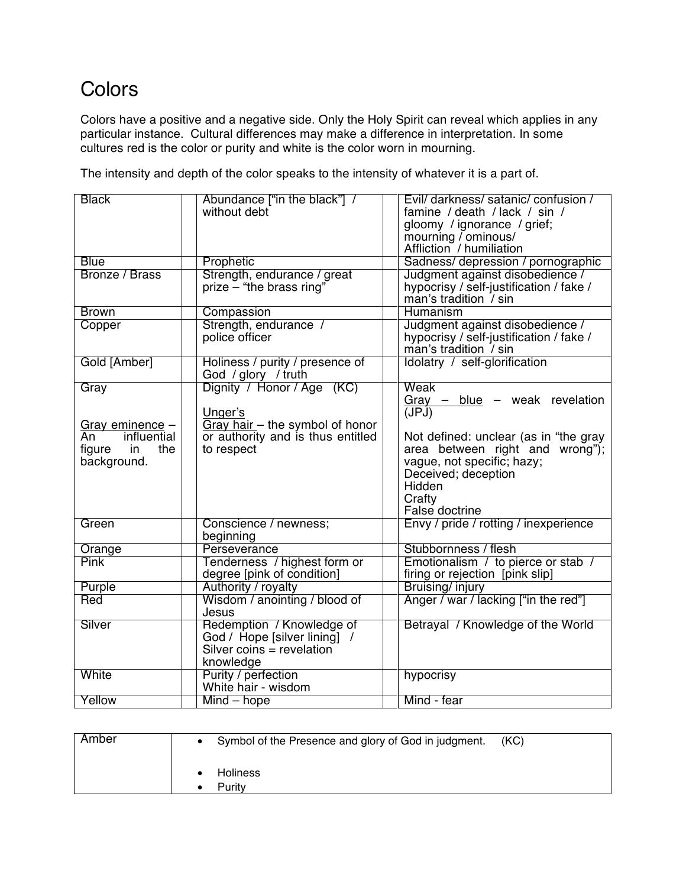## **Colors**

Colors have a positive and a negative side. Only the Holy Spirit can reveal which applies in any particular instance. Cultural differences may make a difference in interpretation. In some cultures red is the color or purity and white is the color worn in mourning.

The intensity and depth of the color speaks to the intensity of whatever it is a part of.

| <b>Black</b>                   | Abundance ["in the black"] /                                         | Evil/ darkness/ satanic/ confusion /    |
|--------------------------------|----------------------------------------------------------------------|-----------------------------------------|
|                                | without debt                                                         | famine / death / lack / sin /           |
|                                |                                                                      | gloomy / ignorance / grief;             |
|                                |                                                                      | mourning / ominous/                     |
|                                |                                                                      | Affliction / humiliation                |
| <b>Blue</b>                    | Prophetic                                                            | Sadness/depression / pornographic       |
| Bronze / Brass                 | Strength, endurance / great                                          | Judgment against disobedience /         |
|                                | prize - "the brass ring"                                             | hypocrisy / self-justification / fake / |
|                                |                                                                      | man's tradition / sin                   |
| <b>Brown</b>                   | Compassion                                                           | Humanism                                |
| Copper                         | Strength, endurance /                                                | Judgment against disobedience /         |
|                                | police officer                                                       | hypocrisy / self-justification / fake / |
|                                |                                                                      | man's tradition / sin                   |
| Gold [Amber]                   | Holiness / purity / presence of                                      | Idolatry / self-glorification           |
|                                | God / glory / truth                                                  |                                         |
| Gray                           | Dignity / Honor / Age (KC)                                           | Weak                                    |
|                                |                                                                      | $Gray$ – blue – weak revelation         |
|                                | Unger's                                                              | (JPJ)                                   |
|                                |                                                                      |                                         |
| Gray eminence -<br>influential | Gray hair - the symbol of honor<br>or authority and is thus entitled |                                         |
| An                             |                                                                      | Not defined: unclear (as in "the gray   |
| the<br>figure<br>in            | to respect                                                           | area between right and wrong");         |
| background.                    |                                                                      | vague, not specific; hazy;              |
|                                |                                                                      | Deceived; deception                     |
|                                |                                                                      | Hidden                                  |
|                                |                                                                      | Crafty                                  |
|                                |                                                                      | False doctrine                          |
| Green                          | Conscience / newness;                                                | Envy / pride / rotting / inexperience   |
|                                | beginning                                                            |                                         |
| Orange                         | Perseverance                                                         | Stubbornness / flesh                    |
| <b>Pink</b>                    | Tenderness / highest form or                                         | Emotionalism / to pierce or stab /      |
|                                | degree [pink of condition]                                           | firing or rejection [pink slip]         |
| Purple                         | Authority / royalty                                                  | Bruising/ injury                        |
| Red                            | Wisdom / anointing / blood of                                        | Anger / war / lacking ["in the red"]    |
|                                | Jesus                                                                |                                         |
| Silver                         | Redemption / Knowledge of                                            | Betrayal / Knowledge of the World       |
|                                | God / Hope [silver lining] /                                         |                                         |
|                                | Silver coins $=$ revelation                                          |                                         |
|                                | knowledge                                                            |                                         |
| White                          | Purity / perfection                                                  | hypocrisy                               |
|                                | White hair - wisdom                                                  |                                         |
| Yellow                         | Mind - hope                                                          | Mind - fear                             |

| Amber | • Symbol of the Presence and glory of God in judgment. | (KC) |
|-------|--------------------------------------------------------|------|
|       | <b>Holiness</b><br>Puritv                              |      |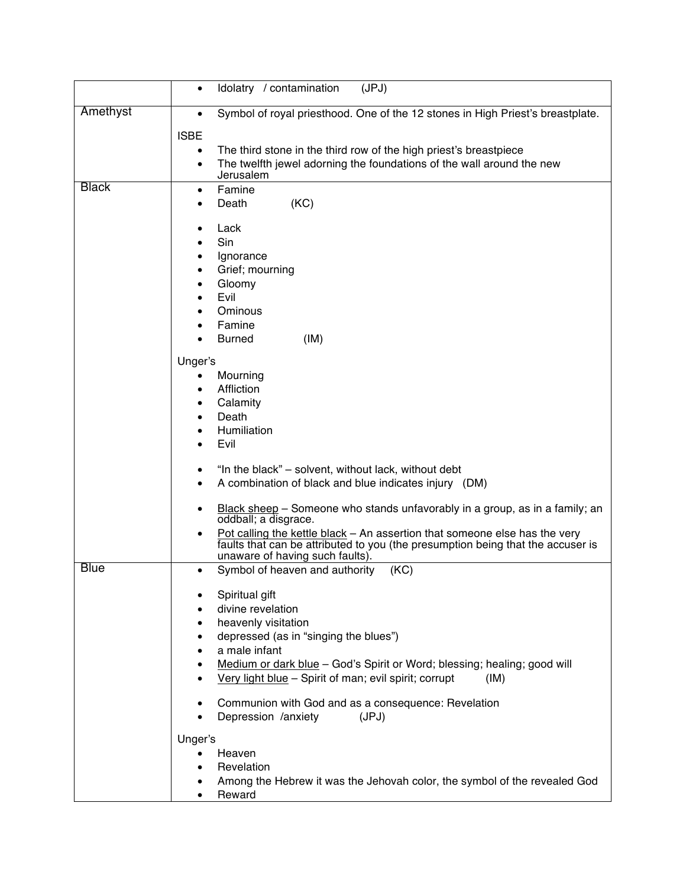|              | Idolatry / contamination<br>(JPJ)<br>$\bullet$                                                                                                                                                                |
|--------------|---------------------------------------------------------------------------------------------------------------------------------------------------------------------------------------------------------------|
| Amethyst     | Symbol of royal priesthood. One of the 12 stones in High Priest's breastplate.<br>$\bullet$                                                                                                                   |
|              | <b>ISBE</b>                                                                                                                                                                                                   |
|              | The third stone in the third row of the high priest's breastpiece<br>$\bullet$<br>The twelfth jewel adorning the foundations of the wall around the new<br>$\bullet$                                          |
|              | Jerusalem                                                                                                                                                                                                     |
| <b>Black</b> | Famine<br>٠<br>(KC)<br>Death<br>٠                                                                                                                                                                             |
|              | Lack<br>$\bullet$<br>Sin<br>٠                                                                                                                                                                                 |
|              | Ignorance<br>٠                                                                                                                                                                                                |
|              | Grief; mourning<br>٠                                                                                                                                                                                          |
|              | Gloomy<br>٠                                                                                                                                                                                                   |
|              | Evil<br>٠<br>Ominous<br>٠                                                                                                                                                                                     |
|              | Famine                                                                                                                                                                                                        |
|              | (IM)<br><b>Burned</b>                                                                                                                                                                                         |
|              | Unger's                                                                                                                                                                                                       |
|              | Mourning<br>$\bullet$                                                                                                                                                                                         |
|              | Affliction<br>٠                                                                                                                                                                                               |
|              | Calamity<br>٠<br>Death<br>٠                                                                                                                                                                                   |
|              | Humiliation<br>٠                                                                                                                                                                                              |
|              | Evil<br>$\bullet$                                                                                                                                                                                             |
|              | "In the black" - solvent, without lack, without debt<br>٠                                                                                                                                                     |
|              | A combination of black and blue indicates injury (DM)<br>٠                                                                                                                                                    |
|              | Black sheep - Someone who stands unfavorably in a group, as in a family; an<br>٠                                                                                                                              |
|              | oddball; a disgrace.                                                                                                                                                                                          |
|              | Pot calling the kettle black - An assertion that someone else has the very<br>$\bullet$<br>faults that can be attributed to you (the presumption being that the accuser is<br>unaware of having such faults). |
| <b>Blue</b>  | Symbol of heaven and authority<br>(KC)<br>$\bullet$                                                                                                                                                           |
|              | Spiritual gift                                                                                                                                                                                                |
|              | divine revelation                                                                                                                                                                                             |
|              | heavenly visitation                                                                                                                                                                                           |
|              | depressed (as in "singing the blues")<br>٠                                                                                                                                                                    |
|              | a male infant<br>$\bullet$                                                                                                                                                                                    |
|              | Medium or dark blue - God's Spirit or Word; blessing; healing; good will<br>$\bullet$<br>Very light blue - Spirit of man; evil spirit; corrupt<br>(IM)                                                        |
|              | Communion with God and as a consequence: Revelation<br>٠<br>Depression /anxiety<br>(JPJ)                                                                                                                      |
|              | Unger's                                                                                                                                                                                                       |
|              | Heaven<br>$\bullet$                                                                                                                                                                                           |
|              | Revelation                                                                                                                                                                                                    |
|              | Among the Hebrew it was the Jehovah color, the symbol of the revealed God<br>٠<br>Reward                                                                                                                      |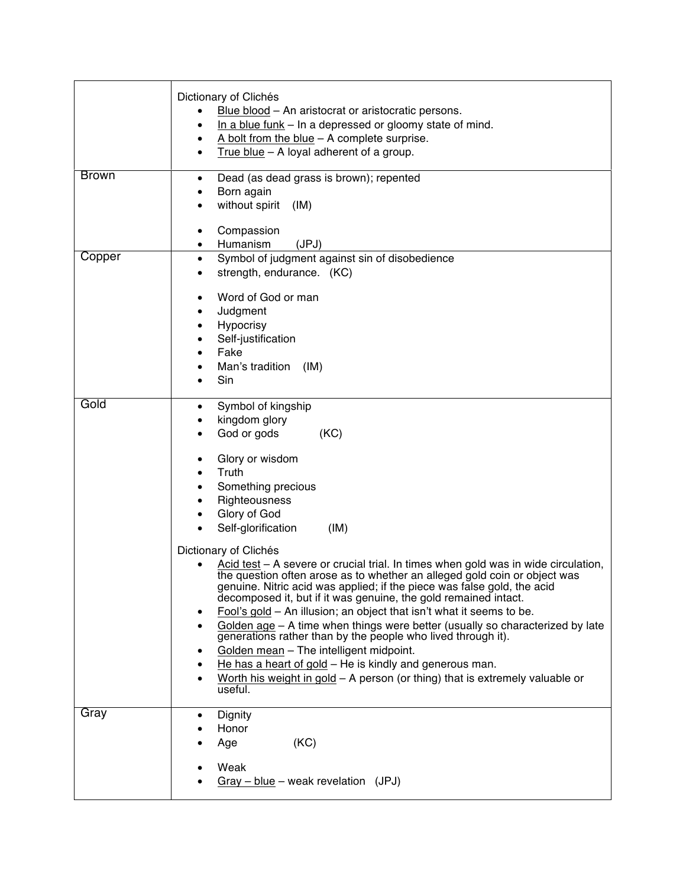| <b>Brown</b> | Dictionary of Clichés<br>Blue blood - An aristocrat or aristocratic persons.<br>$\bullet$<br>In a blue funk $-$ In a depressed or gloomy state of mind.<br>$\bullet$<br>A bolt from the blue $-$ A complete surprise.<br>$\bullet$<br>True blue $-$ A loyal adherent of a group.<br>$\bullet$<br>Dead (as dead grass is brown); repented<br>$\bullet$                                                                                                                                                                                                                                                                                                                                                                                                                                                                                                                                                                                                                                                                                          |
|--------------|------------------------------------------------------------------------------------------------------------------------------------------------------------------------------------------------------------------------------------------------------------------------------------------------------------------------------------------------------------------------------------------------------------------------------------------------------------------------------------------------------------------------------------------------------------------------------------------------------------------------------------------------------------------------------------------------------------------------------------------------------------------------------------------------------------------------------------------------------------------------------------------------------------------------------------------------------------------------------------------------------------------------------------------------|
|              | Born again<br>without spirit<br>(IM)<br>Compassion<br>٠<br>Humanism<br>(JPJ)<br>٠                                                                                                                                                                                                                                                                                                                                                                                                                                                                                                                                                                                                                                                                                                                                                                                                                                                                                                                                                              |
| Copper       | Symbol of judgment against sin of disobedience<br>٠<br>strength, endurance. (KC)<br>$\bullet$<br>Word of God or man<br>$\bullet$<br>Judgment<br>$\bullet$<br>Hypocrisy<br>$\bullet$<br>Self-justification<br>٠<br>Fake<br>Man's tradition<br>(IM)<br>Sin                                                                                                                                                                                                                                                                                                                                                                                                                                                                                                                                                                                                                                                                                                                                                                                       |
| Gold         | Symbol of kingship<br>$\bullet$<br>kingdom glory<br>God or gods<br>(KC)<br>Glory or wisdom<br>$\bullet$<br>Truth<br>$\bullet$<br>Something precious<br>٠<br>Righteousness<br>Glory of God<br>Self-glorification<br>(IM)<br>Dictionary of Clichés<br>Acid test - A severe or crucial trial. In times when gold was in wide circulation,<br>the question often arose as to whether an alleged gold coin or object was<br>genuine. Nitric acid was applied; if the piece was false gold, the acid<br>decomposed it, but if it was genuine, the gold remained intact.<br>Fool's gold - An illusion; an object that isn't what it seems to be.<br>٠<br>Golden age – A time when things were better (usually so characterized by late<br>$\bullet$<br>generations rather than by the people who lived through it).<br>Golden mean - The intelligent midpoint.<br>$\bullet$<br>He has a heart of gold – He is kindly and generous man.<br>٠<br>Worth his weight in gold $-$ A person (or thing) that is extremely valuable or<br>$\bullet$<br>useful. |
| Gray         | Dignity<br>$\bullet$<br>Honor<br>(KC)<br>Age<br>Weak<br>$Gray - blue - weak revelation (JPJ)$                                                                                                                                                                                                                                                                                                                                                                                                                                                                                                                                                                                                                                                                                                                                                                                                                                                                                                                                                  |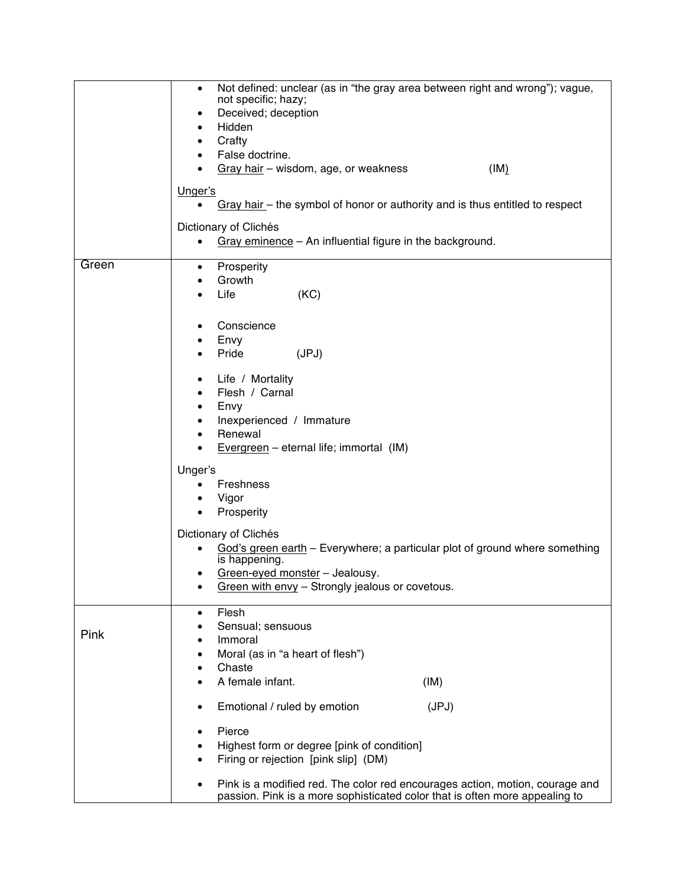|       | Not defined: unclear (as in "the gray area between right and wrong"); vague,<br>٠<br>not specific; hazy;<br>Deceived; deception<br>٠<br>Hidden<br>٠<br>Crafty<br>٠<br>False doctrine.<br>$\bullet$<br>Gray hair - wisdom, age, or weakness<br>(IM)<br>Unger's<br>Gray hair - the symbol of honor or authority and is thus entitled to respect<br>Dictionary of Clichés<br>Gray eminence - An influential figure in the background.<br>$\bullet$                                                                                |
|-------|--------------------------------------------------------------------------------------------------------------------------------------------------------------------------------------------------------------------------------------------------------------------------------------------------------------------------------------------------------------------------------------------------------------------------------------------------------------------------------------------------------------------------------|
| Green | Prosperity<br>$\bullet$<br>Growth<br>٠<br>(KC)<br>Life<br>$\bullet$<br>Conscience<br>٠<br>Envy<br>٠<br>Pride<br>(JPJ)<br>Life / Mortality<br>٠<br>Flesh / Carnal<br>$\bullet$<br>Envy<br>٠<br>Inexperienced / Immature<br>٠<br>Renewal<br>٠<br>Evergreen $-$ eternal life; immortal (IM)<br>Unger's<br>Freshness<br>٠<br>Vigor<br>٠<br>Prosperity<br>$\bullet$<br>Dictionary of Clichés<br>God's green earth - Everywhere; a particular plot of ground where something<br>is happening.<br>Green-eyed monster - Jealousy.<br>٠ |
|       | Green with envy - Strongly jealous or covetous.<br>٠                                                                                                                                                                                                                                                                                                                                                                                                                                                                           |
| Pink  | Flesh<br>٠<br>Sensual; sensuous<br>Immoral<br>٠<br>Moral (as in "a heart of flesh")<br>٠<br>Chaste<br>٠                                                                                                                                                                                                                                                                                                                                                                                                                        |
|       | A female infant.<br>(IM)<br>٠                                                                                                                                                                                                                                                                                                                                                                                                                                                                                                  |
|       | Emotional / ruled by emotion<br>(JPJ)<br>٠<br>Pierce<br>$\bullet$<br>Highest form or degree [pink of condition]<br>Firing or rejection [pink slip] (DM)<br>٠<br>Pink is a modified red. The color red encourages action, motion, courage and                                                                                                                                                                                                                                                                                   |
|       | passion. Pink is a more sophisticated color that is often more appealing to                                                                                                                                                                                                                                                                                                                                                                                                                                                    |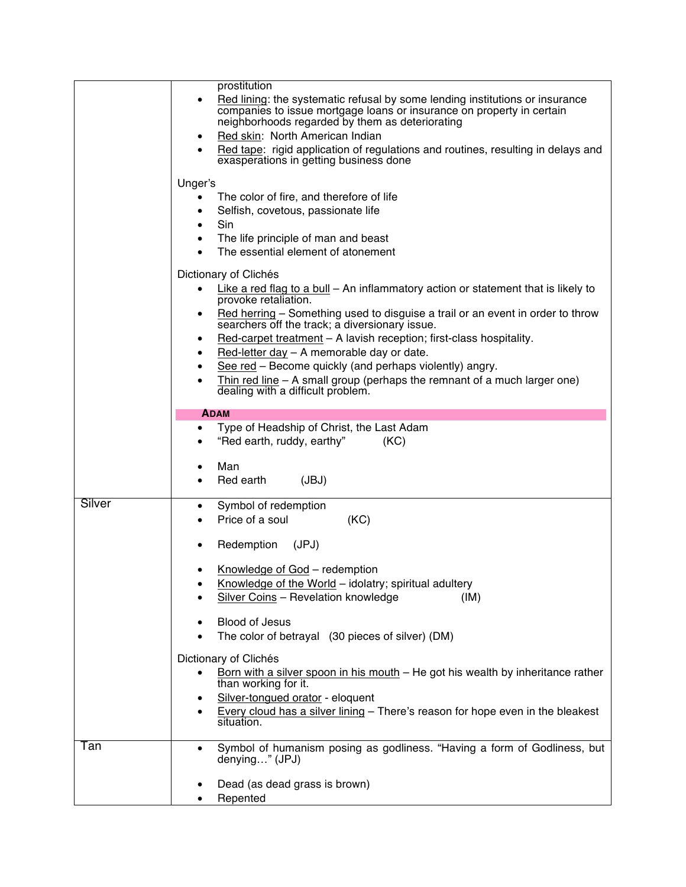|        | prostitution                                                                                                                                                                                                                                                                                                                                                                                                                                                                                                                                                                                                |
|--------|-------------------------------------------------------------------------------------------------------------------------------------------------------------------------------------------------------------------------------------------------------------------------------------------------------------------------------------------------------------------------------------------------------------------------------------------------------------------------------------------------------------------------------------------------------------------------------------------------------------|
|        | Red lining: the systematic refusal by some lending institutions or insurance<br>٠<br>companies to issue mortgage loans or insurance on property in certain<br>neighborhoods regarded by them as deteriorating<br>Red skin: North American Indian<br>٠<br>Red tape: rigid application of regulations and routines, resulting in delays and<br>exasperations in getting business done                                                                                                                                                                                                                         |
|        | Unger's<br>The color of fire, and therefore of life<br>٠<br>Selfish, covetous, passionate life<br>Sin<br>$\bullet$<br>The life principle of man and beast<br>$\bullet$<br>The essential element of atonement                                                                                                                                                                                                                                                                                                                                                                                                |
|        | Dictionary of Clichés<br>Like a red flag to a bull – An inflammatory action or statement that is likely to<br>$\bullet$<br>provoke retaliation.<br>Red herring – Something used to disguise a trail or an event in order to throw<br>٠<br>searchers off the track; a diversionary issue.<br>Red-carpet treatment - A lavish reception; first-class hospitality.<br>٠<br>Red-letter $day - A$ memorable day or date.<br>٠<br>See red - Become quickly (and perhaps violently) angry.<br>٠<br>Thin red line $-$ A small group (perhaps the remnant of a much larger one)<br>dealing with a difficult problem. |
|        | <b>ADAM</b>                                                                                                                                                                                                                                                                                                                                                                                                                                                                                                                                                                                                 |
|        |                                                                                                                                                                                                                                                                                                                                                                                                                                                                                                                                                                                                             |
|        | Type of Headship of Christ, the Last Adam<br>$\bullet$<br>"Red earth, ruddy, earthy"<br>(KC)                                                                                                                                                                                                                                                                                                                                                                                                                                                                                                                |
|        | Man<br>٠<br>(JBJ)<br>Red earth                                                                                                                                                                                                                                                                                                                                                                                                                                                                                                                                                                              |
| Silver | Symbol of redemption<br>٠<br>(KC)<br>Price of a soul                                                                                                                                                                                                                                                                                                                                                                                                                                                                                                                                                        |
|        | Redemption<br>(JPJ)<br>٠                                                                                                                                                                                                                                                                                                                                                                                                                                                                                                                                                                                    |
|        | Knowledge of God - redemption<br>Knowledge of the World - idolatry; spiritual adultery<br>Silver Coins - Revelation knowledge<br>(IM)                                                                                                                                                                                                                                                                                                                                                                                                                                                                       |
|        | <b>Blood of Jesus</b><br>٠<br>The color of betrayal (30 pieces of silver) (DM)                                                                                                                                                                                                                                                                                                                                                                                                                                                                                                                              |
|        |                                                                                                                                                                                                                                                                                                                                                                                                                                                                                                                                                                                                             |
|        | Dictionary of Clichés                                                                                                                                                                                                                                                                                                                                                                                                                                                                                                                                                                                       |
|        | Born with a silver spoon in his mouth $-$ He got his wealth by inheritance rather<br>$\bullet$                                                                                                                                                                                                                                                                                                                                                                                                                                                                                                              |
|        | than working for it.                                                                                                                                                                                                                                                                                                                                                                                                                                                                                                                                                                                        |
|        | Silver-tongued orator - eloquent<br>٠<br>Every cloud has a silver lining - There's reason for hope even in the bleakest<br>٠<br>situation.                                                                                                                                                                                                                                                                                                                                                                                                                                                                  |
| Tan    | Symbol of humanism posing as godliness. "Having a form of Godliness, but<br>٠<br>denying" (JPJ)                                                                                                                                                                                                                                                                                                                                                                                                                                                                                                             |
|        | Dead (as dead grass is brown)<br>Repented                                                                                                                                                                                                                                                                                                                                                                                                                                                                                                                                                                   |